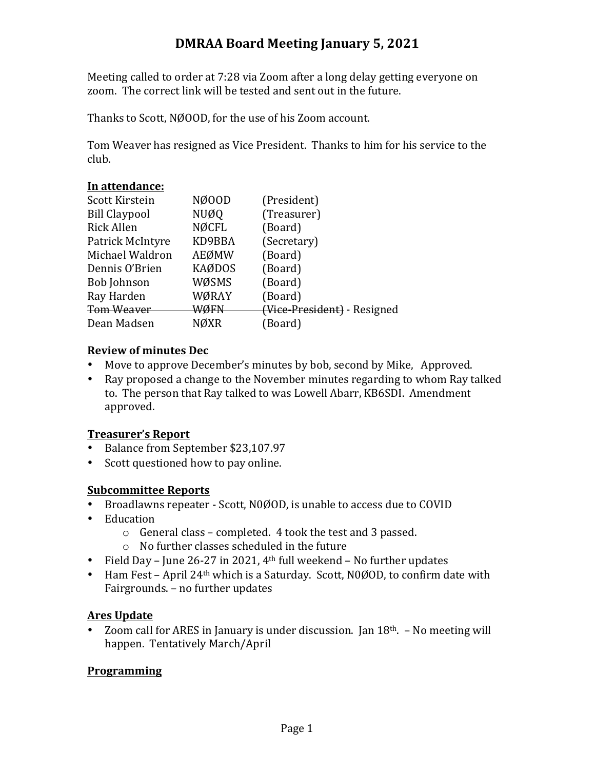# **DMRAA Board Meeting January 5, 2021**

Meeting called to order at 7:28 via Zoom after a long delay getting everyone on zoom. The correct link will be tested and sent out in the future.

Thanks to Scott, NØOOD, for the use of his Zoom account.

Tom Weaver has resigned as Vice President. Thanks to him for his service to the club.

## In attendance:

| Scott Kirstein       | NØ00D         | (President)                 |
|----------------------|---------------|-----------------------------|
| <b>Bill Claypool</b> | NUØQ          | (Treasurer)                 |
| <b>Rick Allen</b>    | <b>NØCFL</b>  | (Board)                     |
| Patrick McIntyre     | KD9BBA        | (Secretary)                 |
| Michael Waldron      | AEØMW         | (Board)                     |
| Dennis O'Brien       | <b>KAØDOS</b> | (Board)                     |
| <b>Bob Johnson</b>   | WØSMS         | (Board)                     |
| Ray Harden           | WØRAY         | (Board)                     |
| <b>Tom Weaver</b>    | WØFN          | (Vice-President) - Resigned |
| Dean Madsen          | NØXR          | (Board)                     |
|                      |               |                             |

## **Review of minutes Dec**

- Move to approve December's minutes by bob, second by Mike, Approved.
- Ray proposed a change to the November minutes regarding to whom Ray talked to. The person that Ray talked to was Lowell Abarr, KB6SDI. Amendment approved.

### **Treasurer's Report**

- Balance from September \$23,107.97
- Scott questioned how to pay online.

### **Subcommittee Reports**

- Broadlawns repeater Scott, N0ØOD, is unable to access due to COVID
- Education
	- $\circ$  General class completed. 4 took the test and 3 passed.
	- $\circ$  No further classes scheduled in the future
- Field Day June 26-27 in 2021,  $4<sup>th</sup>$  full weekend No further updates
- Ham Fest April  $24<sup>th</sup>$  which is a Saturday. Scott, N0ØOD, to confirm date with Fairgrounds. - no further updates

## **Ares Update**

• Zoom call for ARES in January is under discussion. Jan  $18<sup>th</sup>$ . – No meeting will happen. Tentatively March/April

## **Programming**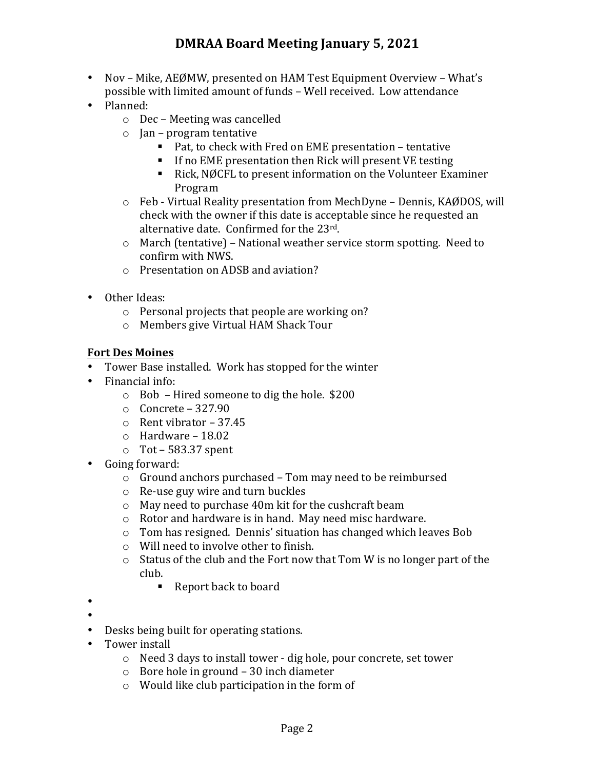- Nov Mike, AEØMW, presented on HAM Test Equipment Overview What's possible with limited amount of funds - Well received. Low attendance
- Planned:
	- $\circ$  Dec Meeting was cancelled
	- $\circ$  Jan program tentative
		- Pat, to check with Fred on EME presentation tentative
		- If no EME presentation then Rick will present VE testing
		- Rick, NØCFL to present information on the Volunteer Examiner Program
	- $\circ$  Feb Virtual Reality presentation from MechDyne Dennis, KAØDOS, will check with the owner if this date is acceptable since he requested an alternative date. Confirmed for the 23rd.
	- $\circ$  March (tentative) National weather service storm spotting. Need to confirm with NWS.
	- $\circ$  Presentation on ADSB and aviation?
- Other Ideas:
	- $\circ$  Personal projects that people are working on?
	- o Members give Virtual HAM Shack Tour

## **Fort Des Moines**

- Tower Base installed. Work has stopped for the winter
- $\bullet$  Financial info:
	- $\circ$  Bob Hired someone to dig the hole. \$200
	- $\circ$  Concrete 327.90
	- $\circ$  Rent vibrator 37.45
	- $\circ$  Hardware 18.02
	- $\circ$  Tot 583.37 spent
- Going forward:
	- $\circ$  Ground anchors purchased Tom may need to be reimbursed
	- $\circ$  Re-use guy wire and turn buckles
	- $\circ$  May need to purchase 40m kit for the cushcraft beam
	- $\circ$  Rotor and hardware is in hand. May need misc hardware.
	- $\circ$  Tom has resigned. Dennis' situation has changed which leaves Bob
	- $\circ$  Will need to involve other to finish.
	- $\circ$  Status of the club and the Fort now that Tom W is no longer part of the club.
		- Report back to board
- •
- •
- Desks being built for operating stations.
- Tower install
	- $\circ$  Need 3 days to install tower dig hole, pour concrete, set tower
	- $\circ$  Bore hole in ground 30 inch diameter
	- $\circ$  Would like club participation in the form of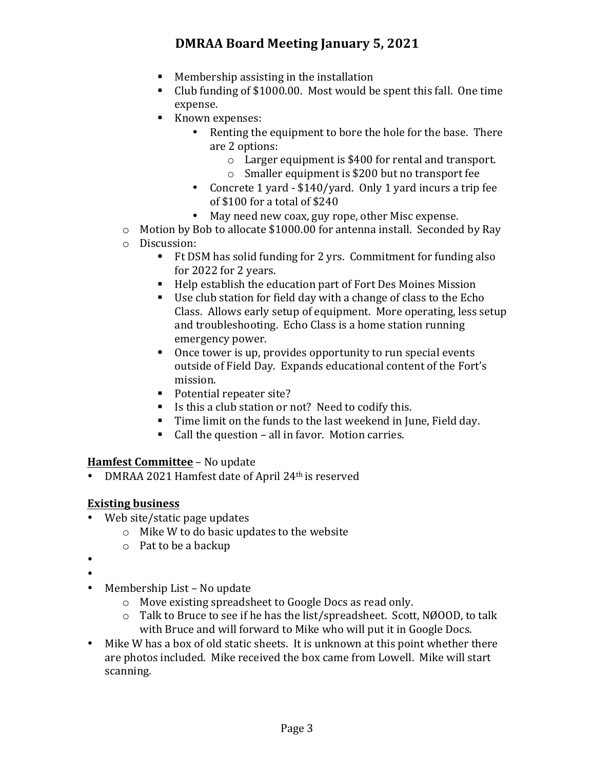# **DMRAA Board Meeting January 5, 2021**

- $\blacksquare$  Membership assisting in the installation
- Club funding of \$1000.00. Most would be spent this fall. One time expense.
- Known expenses:
	- Renting the equipment to bore the hole for the base. There are 2 options:
		- $\circ$  Larger equipment is \$400 for rental and transport.
		- $\circ$  Smaller equipment is \$200 but no transport fee
	- Concrete 1 yard \$140/yard. Only 1 yard incurs a trip fee of \$100 for a total of \$240
	- May need new coax, guy rope, other Misc expense.
- $\circ$  Motion by Bob to allocate \$1000.00 for antenna install. Seconded by Ray
- o Discussion:
	- Ft DSM has solid funding for 2 yrs. Commitment for funding also for 2022 for 2 years.
	- Help establish the education part of Fort Des Moines Mission
	- Use club station for field day with a change of class to the  $Echo$ Class. Allows early setup of equipment. More operating, less setup and troubleshooting. Echo Class is a home station running emergency power.
	- Once tower is up, provides opportunity to run special events outside of Field Day. Expands educational content of the Fort's mission.
	- Potential repeater site?
	- Is this a club station or not? Need to codify this.
	- Time limit on the funds to the last weekend in June, Field day.
	- Call the question all in favor. Motion carries.

### **Hamfest Committee** - No update

• DMRAA 2021 Hamfest date of April 24<sup>th</sup> is reserved

### **Existing business**

- Web site/static page updates
	- $\circ$  Mike W to do basic updates to the website
	- $\circ$  Pat to be a backup
- •
- •
- Membership List No update
	- $\circ$  Move existing spreadsheet to Google Docs as read only.
	- $\circ$  Talk to Bruce to see if he has the list/spreadsheet. Scott, NØOOD, to talk with Bruce and will forward to Mike who will put it in Google Docs.
- Mike W has a box of old static sheets. It is unknown at this point whether there are photos included. Mike received the box came from Lowell. Mike will start scanning.